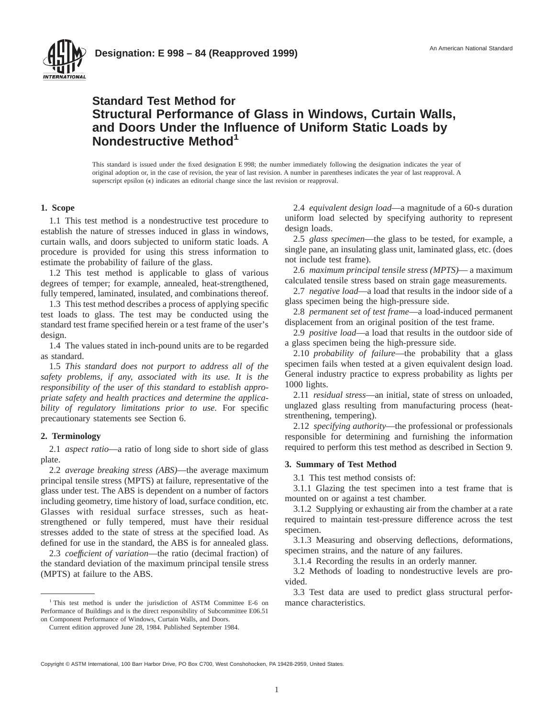

### **Standard Test Method for Structural Performance of Glass in Windows, Curtain Walls, and Doors Under the Influence of Uniform Static Loads by Nondestructive Method<sup>1</sup>**

This standard is issued under the fixed designation E 998; the number immediately following the designation indicates the year of original adoption or, in the case of revision, the year of last revision. A number in parentheses indicates the year of last reapproval. A superscript epsilon  $(\epsilon)$  indicates an editorial change since the last revision or reapproval.

#### **1. Scope**

1.1 This test method is a nondestructive test procedure to establish the nature of stresses induced in glass in windows, curtain walls, and doors subjected to uniform static loads. A procedure is provided for using this stress information to estimate the probability of failure of the glass.

1.2 This test method is applicable to glass of various degrees of temper; for example, annealed, heat-strengthened, fully tempered, laminated, insulated, and combinations thereof.

1.3 This test method describes a process of applying specific test loads to glass. The test may be conducted using the standard test frame specified herein or a test frame of the user's design.

1.4 The values stated in inch-pound units are to be regarded as standard.

1.5 *This standard does not purport to address all of the safety problems, if any, associated with its use. It is the responsibility of the user of this standard to establish appropriate safety and health practices and determine the applicability of regulatory limitations prior to use.* For specific precautionary statements see Section 6.

#### **2. Terminology**

2.1 *aspect ratio*—a ratio of long side to short side of glass plate.

2.2 *average breaking stress (ABS)*—the average maximum principal tensile stress (MPTS) at failure, representative of the glass under test. The ABS is dependent on a number of factors including geometry, time history of load, surface condition, etc. Glasses with residual surface stresses, such as heatstrengthened or fully tempered, must have their residual stresses added to the state of stress at the specified load. As defined for use in the standard, the ABS is for annealed glass.

2.3 *coeffıcient of variation*—the ratio (decimal fraction) of the standard deviation of the maximum principal tensile stress (MPTS) at failure to the ABS.

2.4 *equivalent design load*—a magnitude of a 60-s duration uniform load selected by specifying authority to represent design loads.

2.5 *glass specimen*—the glass to be tested, for example, a single pane, an insulating glass unit, laminated glass, etc. (does not include test frame).

2.6 *maximum principal tensile stress (MPTS)*— a maximum calculated tensile stress based on strain gage measurements.

2.7 *negative load*—a load that results in the indoor side of a glass specimen being the high-pressure side.

2.8 *permanent set of test frame*—a load-induced permanent displacement from an original position of the test frame.

2.9 *positive load*—a load that results in the outdoor side of a glass specimen being the high-pressure side.

2.10 *probability of failure*—the probability that a glass specimen fails when tested at a given equivalent design load. General industry practice to express probability as lights per 1000 lights.

2.11 *residual stress*—an initial, state of stress on unloaded, unglazed glass resulting from manufacturing process (heatstrenthening, tempering).

2.12 *specifying authority*—the professional or professionals responsible for determining and furnishing the information required to perform this test method as described in Section 9.

#### **3. Summary of Test Method**

3.1 This test method consists of:

3.1.1 Glazing the test specimen into a test frame that is mounted on or against a test chamber.

3.1.2 Supplying or exhausting air from the chamber at a rate required to maintain test-pressure difference across the test specimen.

3.1.3 Measuring and observing deflections, deformations, specimen strains, and the nature of any failures.

3.1.4 Recording the results in an orderly manner.

3.2 Methods of loading to nondestructive levels are provided.

3.3 Test data are used to predict glass structural perfor-

<sup>&</sup>lt;sup>1</sup> This test method is under the jurisdiction of ASTM Committee E-6 on mance characteristics. Performance of Buildings and is the direct responsibility of Subcommittee E06.51 on Component Performance of Windows, Curtain Walls, and Doors.

Current edition approved June 28, 1984. Published September 1984.

Copyright © ASTM International, 100 Barr Harbor Drive, PO Box C700, West Conshohocken, PA 19428-2959, United States.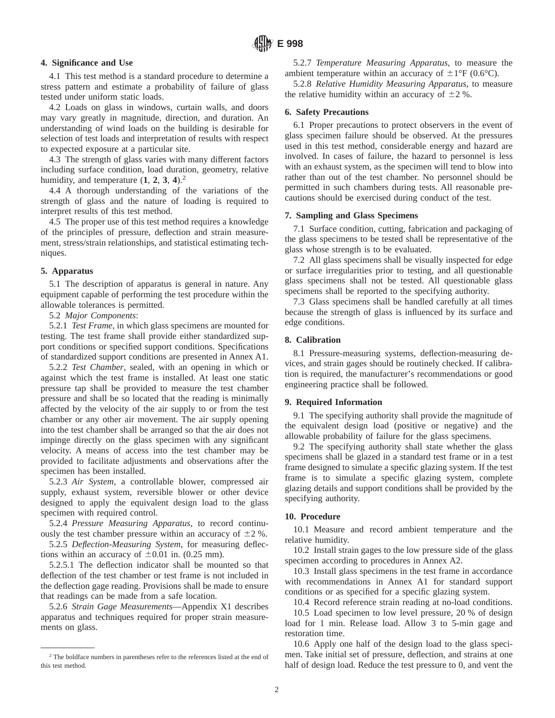#### **4. Significance and Use**

4.1 This test method is a standard procedure to determine a stress pattern and estimate a probability of failure of glass tested under uniform static loads.

4.2 Loads on glass in windows, curtain walls, and doors may vary greatly in magnitude, direction, and duration. An understanding of wind loads on the building is desirable for selection of test loads and interpretation of results with respect to expected exposure at a particular site.

4.3 The strength of glass varies with many different factors including surface condition, load duration, geometry, relative humidity, and temperature  $(1, 2, 3, 4)$ .<sup>2</sup>

4.4 A thorough understanding of the variations of the strength of glass and the nature of loading is required to interpret results of this test method.

4.5 The proper use of this test method requires a knowledge of the principles of pressure, deflection and strain measurement, stress/strain relationships, and statistical estimating techniques.

#### **5. Apparatus**

5.1 The description of apparatus is general in nature. Any equipment capable of performing the test procedure within the allowable tolerances is permitted.

5.2 *Major Components*:

5.2.1 *Test Frame*, in which glass specimens are mounted for testing. The test frame shall provide either standardized support conditions or specified support conditions. Specifications of standardized support conditions are presented in Annex A1.

5.2.2 *Test Chamber*, sealed, with an opening in which or against which the test frame is installed. At least one static pressure tap shall be provided to measure the test chamber pressure and shall be so located that the reading is minimally affected by the velocity of the air supply to or from the test chamber or any other air movement. The air supply opening into the test chamber shall be arranged so that the air does not impinge directly on the glass specimen with any significant velocity. A means of access into the test chamber may be provided to facilitate adjustments and observations after the specimen has been installed.

5.2.3 *Air System*, a controllable blower, compressed air supply, exhaust system, reversible blower or other device designed to apply the equivalent design load to the glass specimen with required control.

5.2.4 *Pressure Measuring Apparatus*, to record continuously the test chamber pressure within an accuracy of  $\pm 2$  %.

5.2.5 *Deflection-Measuring System*, for measuring deflections within an accuracy of  $\pm 0.01$  in. (0.25 mm).

5.2.5.1 The deflection indicator shall be mounted so that deflection of the test chamber or test frame is not included in the deflection gage reading. Provisions shall be made to ensure that readings can be made from a safe location.

5.2.6 *Strain Gage Measurements*—Appendix X1 describes apparatus and techniques required for proper strain measurements on glass.

5.2.7 *Temperature Measuring Apparatus*, to measure the ambient temperature within an accuracy of  $\pm 1^{\circ}$ F (0.6°C).

5.2.8 *Relative Humidity Measuring Apparatus*, to measure the relative humidity within an accuracy of  $\pm 2$  %.

#### **6. Safety Precautions**

6.1 Proper precautions to protect observers in the event of glass specimen failure should be observed. At the pressures used in this test method, considerable energy and hazard are involved. In cases of failure, the hazard to personnel is less with an exhaust system, as the specimen will tend to blow into rather than out of the test chamber. No personnel should be permitted in such chambers during tests. All reasonable precautions should be exercised during conduct of the test.

#### **7. Sampling and Glass Specimens**

7.1 Surface condition, cutting, fabrication and packaging of the glass specimens to be tested shall be representative of the glass whose strength is to be evaluated.

7.2 All glass specimens shall be visually inspected for edge or surface irregularities prior to testing, and all questionable glass specimens shall not be tested. All questionable glass specimens shall be reported to the specifying authority.

7.3 Glass specimens shall be handled carefully at all times because the strength of glass is influenced by its surface and edge conditions.

#### **8. Calibration**

8.1 Pressure-measuring systems, deflection-measuring devices, and strain gages should be routinely checked. If calibration is required, the manufacturer's recommendations or good engineering practice shall be followed.

#### **9. Required Information**

9.1 The specifying authority shall provide the magnitude of the equivalent design load (positive or negative) and the allowable probability of failure for the glass specimens.

9.2 The specifying authority shall state whether the glass specimens shall be glazed in a standard test frame or in a test frame designed to simulate a specific glazing system. If the test frame is to simulate a specific glazing system, complete glazing details and support conditions shall be provided by the specifying authority.

#### **10. Procedure**

10.1 Measure and record ambient temperature and the relative humidity.

10.2 Install strain gages to the low pressure side of the glass specimen according to procedures in Annex A2.

10.3 Install glass specimens in the test frame in accordance with recommendations in Annex A1 for standard support conditions or as specified for a specific glazing system.

10.4 Record reference strain reading at no-load conditions.

10.5 Load specimen to low level pressure, 20 % of design load for 1 min. Release load. Allow 3 to 5-min gage and restoration time.

10.6 Apply one half of the design load to the glass specimen. Take initial set of pressure, deflection, and strains at one half of design load. Reduce the test pressure to 0, and vent the

 $2$ <sup>2</sup> The boldface numbers in parentheses refer to the references listed at the end of this test method.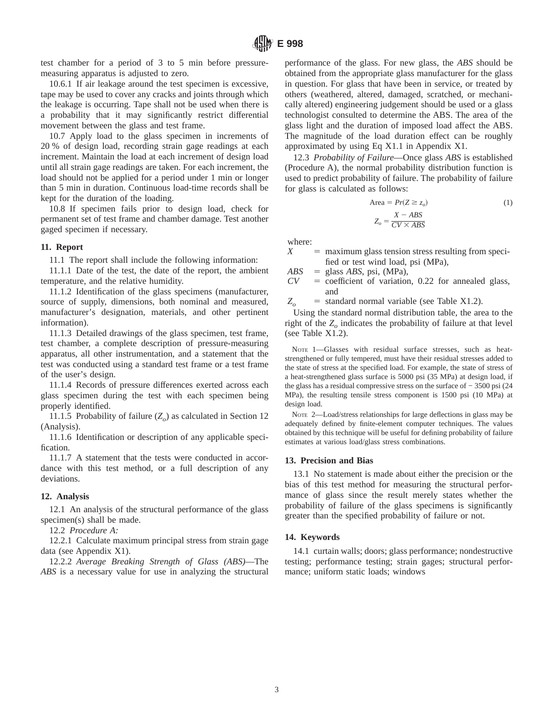test chamber for a period of 3 to 5 min before pressuremeasuring apparatus is adjusted to zero.

10.6.1 If air leakage around the test specimen is excessive, tape may be used to cover any cracks and joints through which the leakage is occurring. Tape shall not be used when there is a probability that it may significantly restrict differential movement between the glass and test frame.

10.7 Apply load to the glass specimen in increments of 20 % of design load, recording strain gage readings at each increment. Maintain the load at each increment of design load until all strain gage readings are taken. For each increment, the load should not be applied for a period under 1 min or longer than 5 min in duration. Continuous load-time records shall be kept for the duration of the loading.

10.8 If specimen fails prior to design load, check for permanent set of test frame and chamber damage. Test another gaged specimen if necessary.

#### **11. Report**

11.1 The report shall include the following information:

11.1.1 Date of the test, the date of the report, the ambient temperature, and the relative humidity.

11.1.2 Identification of the glass specimens (manufacturer, source of supply, dimensions, both nominal and measured, manufacturer's designation, materials, and other pertinent information).

11.1.3 Detailed drawings of the glass specimen, test frame, test chamber, a complete description of pressure-measuring apparatus, all other instrumentation, and a statement that the test was conducted using a standard test frame or a test frame of the user's design.

11.1.4 Records of pressure differences exerted across each glass specimen during the test with each specimen being properly identified.

11.1.5 Probability of failure  $(Z_o)$  as calculated in Section 12 (Analysis).

11.1.6 Identification or description of any applicable specification.

11.1.7 A statement that the tests were conducted in accordance with this test method, or a full description of any deviations.

#### **12. Analysis**

12.1 An analysis of the structural performance of the glass specimen(s) shall be made.

12.2 *Procedure A:*

12.2.1 Calculate maximum principal stress from strain gage data (see Appendix X1).

12.2.2 *Average Breaking Strength of Glass (ABS)*—The *ABS* is a necessary value for use in analyzing the structural

performance of the glass. For new glass, the *ABS* should be obtained from the appropriate glass manufacturer for the glass in question. For glass that have been in service, or treated by others (weathered, altered, damaged, scratched, or mechanically altered) engineering judgement should be used or a glass technologist consulted to determine the ABS. The area of the glass light and the duration of imposed load affect the ABS. The magnitude of the load duration effect can be roughly approximated by using Eq X1.1 in Appendix X1.

12.3 *Probability of Failure*—Once glass *ABS* is established (Procedure A), the normal probability distribution function is used to predict probability of failure. The probability of failure for glass is calculated as follows:

Area = 
$$
Pr(Z \ge z_o)
$$
 (1)  

$$
Z_o = \frac{X - ABS}{CV \times ABS}
$$

where:

 $X =$  maximum glass tension stress resulting from specified or test wind load, psi (MPa),

 $ABS$  = glass *ABS*, psi, (MPa),

 $CV = coefficient of variation, 0.22 for annealed glass,$ and

 $Z_o$  = standard normal variable (see Table X1.2).

Using the standard normal distribution table, the area to the right of the  $Z<sub>o</sub>$  indicates the probability of failure at that level (see Table X1.2).

NOTE 1—Glasses with residual surface stresses, such as heatstrengthened or fully tempered, must have their residual stresses added to the state of stress at the specified load. For example, the state of stress of a heat-strengthened glass surface is 5000 psi (35 MPa) at design load, if the glass has a residual compressive stress on the surface of − 3500 psi (24 MPa), the resulting tensile stress component is 1500 psi (10 MPa) at design load.

NOTE 2—Load/stress relationships for large deflections in glass may be adequately defined by finite-element computer techniques. The values obtained by this technique will be useful for defining probability of failure estimates at various load/glass stress combinations.

#### **13. Precision and Bias**

13.1 No statement is made about either the precision or the bias of this test method for measuring the structural performance of glass since the result merely states whether the probability of failure of the glass specimens is significantly greater than the specified probability of failure or not.

#### **14. Keywords**

14.1 curtain walls; doors; glass performance; nondestructive testing; performance testing; strain gages; structural performance; uniform static loads; windows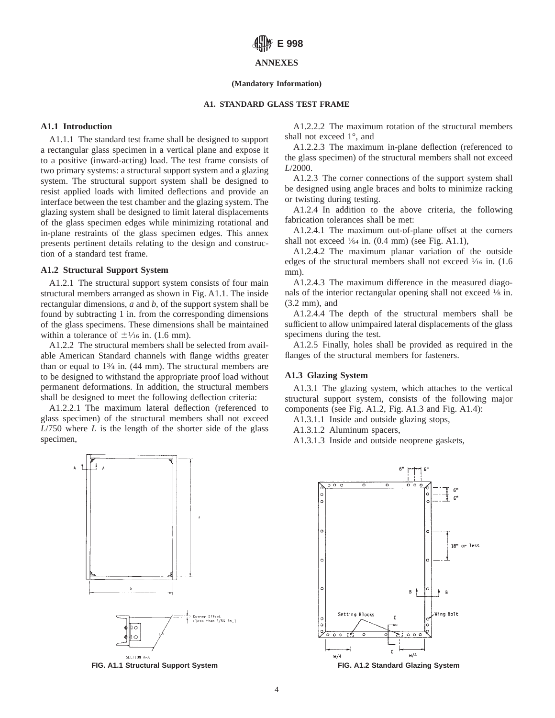#### **ANNEXES**

#### **(Mandatory Information)**

#### **A1. STANDARD GLASS TEST FRAME**

#### **A1.1 Introduction**

A1.1.1 The standard test frame shall be designed to support a rectangular glass specimen in a vertical plane and expose it to a positive (inward-acting) load. The test frame consists of two primary systems: a structural support system and a glazing system. The structural support system shall be designed to resist applied loads with limited deflections and provide an interface between the test chamber and the glazing system. The glazing system shall be designed to limit lateral displacements of the glass specimen edges while minimizing rotational and in-plane restraints of the glass specimen edges. This annex presents pertinent details relating to the design and construction of a standard test frame.

#### **A1.2 Structural Support System**

A1.2.1 The structural support system consists of four main structural members arranged as shown in Fig. A1.1. The inside rectangular dimensions, *a* and *b*, of the support system shall be found by subtracting 1 in. from the corresponding dimensions of the glass specimens. These dimensions shall be maintained within a tolerance of  $\pm\frac{1}{16}$  in. (1.6 mm).

A1.2.2 The structural members shall be selected from available American Standard channels with flange widths greater than or equal to  $1\frac{3}{4}$  in. (44 mm). The structural members are to be designed to withstand the appropriate proof load without permanent deformations. In addition, the structural members shall be designed to meet the following deflection criteria:

A1.2.2.1 The maximum lateral deflection (referenced to glass specimen) of the structural members shall not exceed *L*/750 where *L* is the length of the shorter side of the glass specimen,



A1.2.2.2 The maximum rotation of the structural members shall not exceed 1°, and

A1.2.2.3 The maximum in-plane deflection (referenced to the glass specimen) of the structural members shall not exceed *L*/2000.

A1.2.3 The corner connections of the support system shall be designed using angle braces and bolts to minimize racking or twisting during testing.

A1.2.4 In addition to the above criteria, the following fabrication tolerances shall be met:

A1.2.4.1 The maximum out-of-plane offset at the corners shall not exceed  $\frac{1}{64}$  in. (0.4 mm) (see Fig. A1.1),

A1.2.4.2 The maximum planar variation of the outside edges of the structural members shall not exceed  $\frac{1}{16}$  in. (1.6) mm).

A1.2.4.3 The maximum difference in the measured diagonals of the interior rectangular opening shall not exceed  $\frac{1}{8}$  in. (3.2 mm), and

A1.2.4.4 The depth of the structural members shall be sufficient to allow unimpaired lateral displacements of the glass specimens during the test.

A1.2.5 Finally, holes shall be provided as required in the flanges of the structural members for fasteners.

#### **A1.3 Glazing System**

A1.3.1 The glazing system, which attaches to the vertical structural support system, consists of the following major components (see Fig. A1.2, Fig. A1.3 and Fig. A1.4):

A1.3.1.1 Inside and outside glazing stops,

A1.3.1.2 Aluminum spacers,

A1.3.1.3 Inside and outside neoprene gaskets,

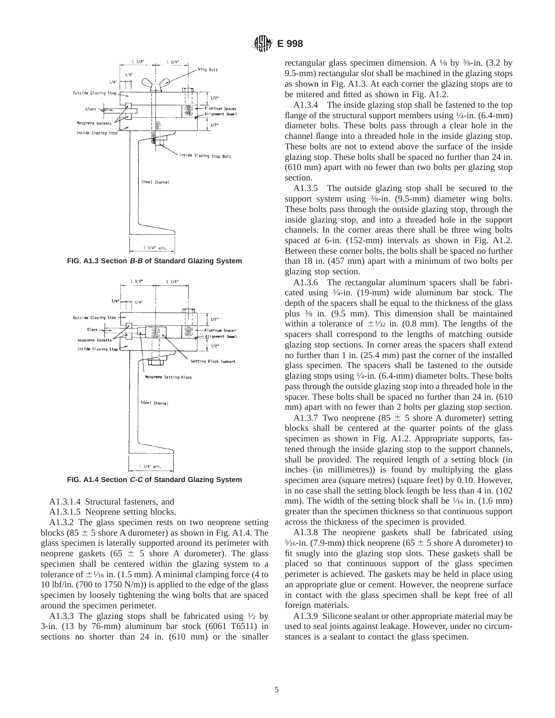

**FIG. A1.3 Section B-B of Standard Glazing System**



**FIG. A1.4 Section C-C of Standard Glazing System**

A1.3.1.4 Structural fasteners, and

A1.3.1.5 Neoprene setting blocks.

A1.3.2 The glass specimen rests on two neoprene setting blocks (85  $\pm$  5 shore A durometer) as shown in Fig. A1.4. The glass specimen is laterally supported around its perimeter with neoprene gaskets (65  $\pm$  5 shore A durometer). The glass specimen shall be centered within the glazing system to a tolerance of  $\pm$   $\frac{1}{16}$  in. (1.5 mm). A minimal clamping force (4 to 10 lbf/in. (700 to 1750 N/m)) is applied to the edge of the glass specimen by loosely tightening the wing bolts that are spaced around the specimen perimeter.

A1.3.3 The glazing stops shall be fabricated using  $\frac{1}{2}$  by 3-in. (13 by 76-mm) aluminum bar stock (6061 T6511) in sections no shorter than 24 in. (610 mm) or the smaller rectangular glass specimen dimension. A 1⁄8 by 3⁄8-in. (3.2 by 9.5-mm) rectangular slot shall be machined in the glazing stops as shown in Fig. A1.3. At each corner the glazing stops are to be mitered and fitted as shown in Fig. A1.2.

A1.3.4 The inside glazing stop shall be fastened to the top flange of the structural support members using  $\frac{1}{4}$ -in. (6.4-mm) diameter bolts. These bolts pass through a clear hole in the channel flange into a threaded hole in the inside glazing stop. These bolts are not to extend above the surface of the inside glazing stop. These bolts shall be spaced no further than 24 in. (610 mm) apart with no fewer than two bolts per glazing stop section.

A1.3.5 The outside glazing stop shall be secured to the support system using  $\frac{3}{8}$ -in. (9.5-mm) diameter wing bolts. These bolts pass through the outside glazing stop, through the inside glazing stop, and into a threaded hole in the support channels. In the corner areas there shall be three wing bolts spaced at 6-in. (152-mm) intervals as shown in Fig. A1.2. Between these corner bolts, the bolts shall be spaced no further than 18 in. (457 mm) apart with a minimum of two bolts per glazing stop section.

A1.3.6 The rectangular aluminum spacers shall be fabricated using 3⁄4-in. (19-mm) wide aluminum bar stock. The depth of the spacers shall be equal to the thickness of the glass plus 3⁄8 in. (9.5 mm). This dimension shall be maintained within a tolerance of  $\pm\frac{1}{32}$  in. (0.8 mm). The lengths of the spacers shall correspond to the lengths of matching outside glazing stop sections. In corner areas the spacers shall extend no further than 1 in. (25.4 mm) past the corner of the installed glass specimen. The spacers shall be fastened to the outside glazing stops using  $\frac{1}{4}$ -in. (6.4-mm) diameter bolts. These bolts pass through the outside glazing stop into a threaded hole in the spacer. These bolts shall be spaced no further than 24 in. (610 mm) apart with no fewer than 2 bolts per glazing stop section.

A1.3.7 Two neoprene (85  $\pm$  5 shore A durometer) setting blocks shall be centered at the quarter points of the glass specimen as shown in Fig. A1.2. Appropriate supports, fastened through the inside glazing stop to the support channels, shall be provided. The required length of a setting block (in inches (in millimetres)) is found by multiplying the glass specimen area (square metres) (square feet) by 0.10. However, in no case shall the setting block length be less than 4 in. (102 mm). The width of the setting block shall be  $\frac{1}{16}$  in. (1.6 mm) greater than the specimen thickness so that continuous support across the thickness of the specimen is provided.

A1.3.8 The neoprene gaskets shall be fabricated using  $\frac{5}{16}$ -in. (7.9-mm) thick neoprene (65  $\pm$  5 shore A durometer) to fit snugly into the glazing stop slots. These gaskets shall be placed so that continuous support of the glass specimen perimeter is achieved. The gaskets may be held in place using an appropriate glue or cement. However, the neoprene surface in contact with the glass specimen shall be kept free of all foreign materials.

A1.3.9 Silicone sealant or other appropriate material may be used to seal joints against leakage. However, under no circumstances is a sealant to contact the glass specimen.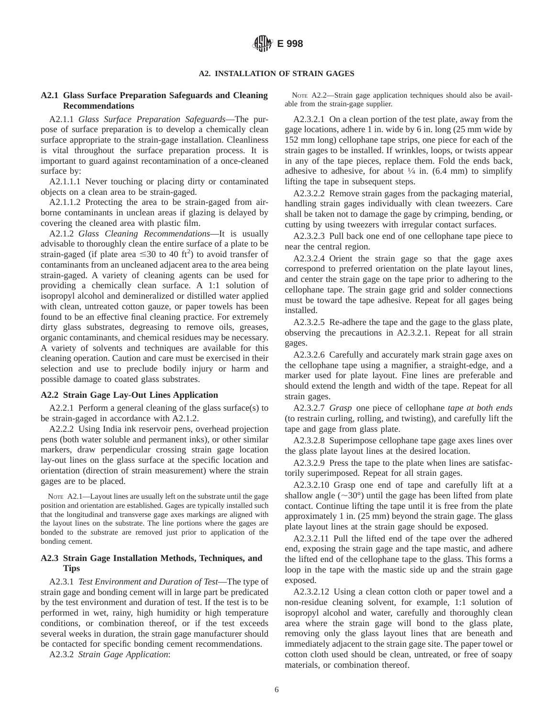#### **A2. INSTALLATION OF STRAIN GAGES**

#### **A2.1 Glass Surface Preparation Safeguards and Cleaning Recommendations**

A2.1.1 *Glass Surface Preparation Safeguards*—The purpose of surface preparation is to develop a chemically clean surface appropriate to the strain-gage installation. Cleanliness is vital throughout the surface preparation process. It is important to guard against recontamination of a once-cleaned surface by:

A2.1.1.1 Never touching or placing dirty or contaminated objects on a clean area to be strain-gaged.

A2.1.1.2 Protecting the area to be strain-gaged from airborne contaminants in unclean areas if glazing is delayed by covering the cleaned area with plastic film.

A2.1.2 *Glass Cleaning Recommendations*—It is usually advisable to thoroughly clean the entire surface of a plate to be strain-gaged (if plate area  $\leq 30$  to 40 ft<sup>2</sup>) to avoid transfer of contaminants from an uncleaned adjacent area to the area being strain-gaged. A variety of cleaning agents can be used for providing a chemically clean surface. A 1:1 solution of isopropyl alcohol and demineralized or distilled water applied with clean, untreated cotton gauze, or paper towels has been found to be an effective final cleaning practice. For extremely dirty glass substrates, degreasing to remove oils, greases, organic contaminants, and chemical residues may be necessary. A variety of solvents and techniques are available for this cleaning operation. Caution and care must be exercised in their selection and use to preclude bodily injury or harm and possible damage to coated glass substrates.

#### **A2.2 Strain Gage Lay-Out Lines Application**

A2.2.1 Perform a general cleaning of the glass surface(s) to be strain-gaged in accordance with A2.1.2.

A2.2.2 Using India ink reservoir pens, overhead projection pens (both water soluble and permanent inks), or other similar markers, draw perpendicular crossing strain gage location lay-out lines on the glass surface at the specific location and orientation (direction of strain measurement) where the strain gages are to be placed.

NOTE A2.1—Layout lines are usually left on the substrate until the gage position and orientation are established. Gages are typically installed such that the longitudinal and transverse gage axes markings are aligned with the layout lines on the substrate. The line portions where the gages are bonded to the substrate are removed just prior to application of the bonding cement.

#### **A2.3 Strain Gage Installation Methods, Techniques, and Tips**

A2.3.1 *Test Environment and Duration of Test*—The type of strain gage and bonding cement will in large part be predicated by the test environment and duration of test. If the test is to be performed in wet, rainy, high humidity or high temperature conditions, or combination thereof, or if the test exceeds several weeks in duration, the strain gage manufacturer should be contacted for specific bonding cement recommendations.

A2.3.2 *Strain Gage Application*:

NOTE A2.2—Strain gage application techniques should also be available from the strain-gage supplier.

A2.3.2.1 On a clean portion of the test plate, away from the gage locations, adhere 1 in. wide by 6 in. long (25 mm wide by 152 mm long) cellophane tape strips, one piece for each of the strain gages to be installed. If wrinkles, loops, or twists appear in any of the tape pieces, replace them. Fold the ends back, adhesive to adhesive, for about  $\frac{1}{4}$  in. (6.4 mm) to simplify lifting the tape in subsequent steps.

A2.3.2.2 Remove strain gages from the packaging material, handling strain gages individually with clean tweezers. Care shall be taken not to damage the gage by crimping, bending, or cutting by using tweezers with irregular contact surfaces.

A2.3.2.3 Pull back one end of one cellophane tape piece to near the central region.

A2.3.2.4 Orient the strain gage so that the gage axes correspond to preferred orientation on the plate layout lines, and center the strain gage on the tape prior to adhering to the cellophane tape. The strain gage grid and solder connections must be toward the tape adhesive. Repeat for all gages being installed.

A2.3.2.5 Re-adhere the tape and the gage to the glass plate, observing the precautions in A2.3.2.1. Repeat for all strain gages.

A2.3.2.6 Carefully and accurately mark strain gage axes on the cellophane tape using a magnifier, a straight-edge, and a marker used for plate layout. Fine lines are preferable and should extend the length and width of the tape. Repeat for all strain gages.

A2.3.2.7 *Grasp* one piece of cellophane *tape at both ends* (to restrain curling, rolling, and twisting), and carefully lift the tape and gage from glass plate.

A2.3.2.8 Superimpose cellophane tape gage axes lines over the glass plate layout lines at the desired location.

A2.3.2.9 Press the tape to the plate when lines are satisfactorily superimposed. Repeat for all strain gages.

A2.3.2.10 Grasp one end of tape and carefully lift at a shallow angle  $({\sim}30^{\circ})$  until the gage has been lifted from plate contact. Continue lifting the tape until it is free from the plate approximately 1 in. (25 mm) beyond the strain gage. The glass plate layout lines at the strain gage should be exposed.

A2.3.2.11 Pull the lifted end of the tape over the adhered end, exposing the strain gage and the tape mastic, and adhere the lifted end of the cellophane tape to the glass. This forms a loop in the tape with the mastic side up and the strain gage exposed.

A2.3.2.12 Using a clean cotton cloth or paper towel and a non-residue cleaning solvent, for example, 1:1 solution of isopropyl alcohol and water, carefully and thoroughly clean area where the strain gage will bond to the glass plate, removing only the glass layout lines that are beneath and immediately adjacent to the strain gage site. The paper towel or cotton cloth used should be clean, untreated, or free of soapy materials, or combination thereof.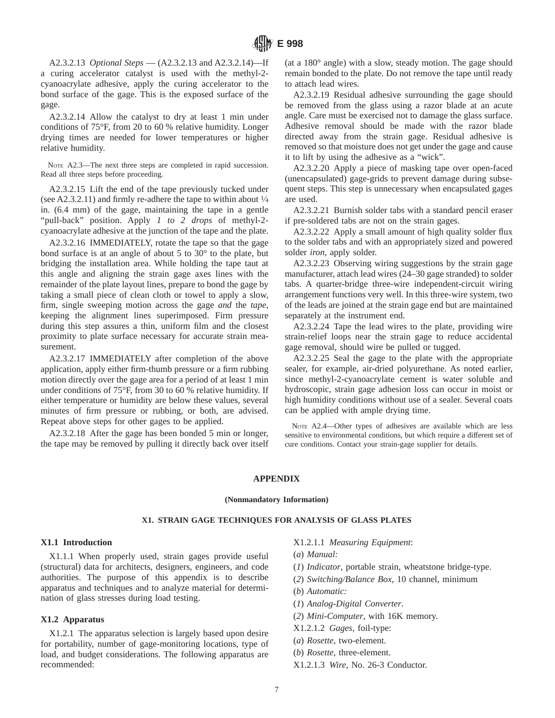A2.3.2.13 *Optional Steps* — (A2.3.2.13 and A2.3.2.14)—If a curing accelerator catalyst is used with the methyl-2 cyanoacrylate adhesive, apply the curing accelerator to the bond surface of the gage. This is the exposed surface of the gage.

A2.3.2.14 Allow the catalyst to dry at least 1 min under conditions of 75°F, from 20 to 60 % relative humidity. Longer drying times are needed for lower temperatures or higher relative humidity.

NOTE A2.3—The next three steps are completed in rapid succession. Read all three steps before proceeding.

A2.3.2.15 Lift the end of the tape previously tucked under (see A2.3.2.11) and firmly re-adhere the tape to within about  $\frac{1}{4}$ in. (6.4 mm) of the gage, maintaining the tape in a gentle "pull-back" position. Apply *1 to 2 drops* of methyl-2 cyanoacrylate adhesive at the junction of the tape and the plate.

A2.3.2.16 IMMEDIATELY, rotate the tape so that the gage bond surface is at an angle of about 5 to 30° to the plate, but bridging the installation area. While holding the tape taut at this angle and aligning the strain gage axes lines with the remainder of the plate layout lines, prepare to bond the gage by taking a small piece of clean cloth or towel to apply a slow, firm, single sweeping motion across the gage *and* the *tape*, keeping the alignment lines superimposed. Firm pressure during this step assures a thin, uniform film and the closest proximity to plate surface necessary for accurate strain measurement.

A2.3.2.17 IMMEDIATELY after completion of the above application, apply either firm-thumb pressure or a firm rubbing motion directly over the gage area for a period of at least 1 min under conditions of 75°F, from 30 to 60 % relative humidity. If either temperature or humidity are below these values, several minutes of firm pressure or rubbing, or both, are advised. Repeat above steps for other gages to be applied.

A2.3.2.18 After the gage has been bonded 5 min or longer, the tape may be removed by pulling it directly back over itself (at a 180° angle) with a slow, steady motion. The gage should remain bonded to the plate. Do not remove the tape until ready to attach lead wires.

A2.3.2.19 Residual adhesive surrounding the gage should be removed from the glass using a razor blade at an acute angle. Care must be exercised not to damage the glass surface. Adhesive removal should be made with the razor blade directed away from the strain gage. Residual adhesive is removed so that moisture does not get under the gage and cause it to lift by using the adhesive as a "wick".

A2.3.2.20 Apply a piece of masking tape over open-faced (unencapsulated) gage-grids to prevent damage during subsequent steps. This step is unnecessary when encapsulated gages are used.

A2.3.2.21 Burnish solder tabs with a standard pencil eraser if pre-soldered tabs are not on the strain gages.

A2.3.2.22 Apply a small amount of high quality solder flux to the solder tabs and with an appropriately sized and powered solder *iron*, apply solder.

A2.3.2.23 Observing wiring suggestions by the strain gage manufacturer, attach lead wires (24–30 gage stranded) to solder tabs. A quarter-bridge three-wire independent-circuit wiring arrangement functions very well. In this three-wire system, two of the leads are joined at the strain gage end but are maintained separately at the instrument end.

A2.3.2.24 Tape the lead wires to the plate, providing wire strain-relief loops near the strain gage to reduce accidental gage removal, should wire be pulled or tugged.

A2.3.2.25 Seal the gage to the plate with the appropriate sealer, for example, air-dried polyurethane. As noted earlier, since methyl-2-cyanoacrylate cement is water soluble and hydroscopic, strain gage adhesion loss can occur in moist or high humidity conditions without use of a sealer. Several coats can be applied with ample drying time.

NOTE A2.4—Other types of adhesives are available which are less sensitive to environmental conditions, but which require a different set of cure conditions. Contact your strain-gage supplier for details.

#### **APPENDIX**

#### **(Nonmandatory Information)**

#### **X1. STRAIN GAGE TECHNIQUES FOR ANALYSIS OF GLASS PLATES**

#### **X1.1 Introduction**

X1.1.1 When properly used, strain gages provide useful (structural) data for architects, designers, engineers, and code authorities. The purpose of this appendix is to describe apparatus and techniques and to analyze material for determination of glass stresses during load testing.

#### **X1.2 Apparatus**

X1.2.1 The apparatus selection is largely based upon desire for portability, number of gage-monitoring locations, type of load, and budget considerations. The following apparatus are recommended:

- X1.2.1.1 *Measuring Equipment*:
- (*a*) *Manual:*
- (*1*) *Indicator*, portable strain, wheatstone bridge-type.
- (*2*) *Switching/Balance Box*, 10 channel, minimum
- (*b*) *Automatic:*
- (*1*) *Analog-Digital Converter*.
- (*2*) *Mini-Computer*, with 16K memory.
- X1.2.1.2 *Gages*, foil-type:
- (*a*) *Rosette*, two-element.
- (*b*) *Rosette*, three-element.
- X1.2.1.3 *Wire*, No. 26-3 Conductor.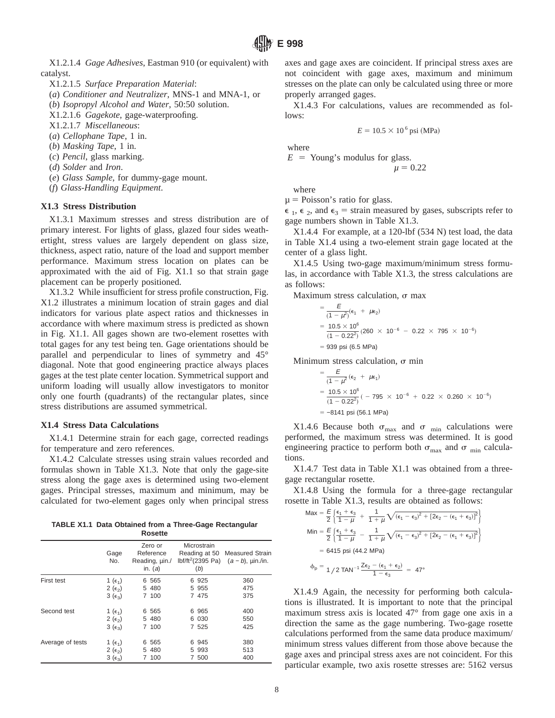X1.2.1.4 *Gage Adhesives*, Eastman 910 (or equivalent) with catalyst.

X1.2.1.5 *Surface Preparation Material*:

(*a*) *Conditioner and Neutralizer*, MNS-1 and MNA-1, or

(*b*) *Isopropyl Alcohol and Water*, 50:50 solution.

X1.2.1.6 *Gagekote*, gage-waterproofing.

X1.2.1.7 *Miscellaneous*:

(*a*) *Cellophane Tape*, 1 in.

(*b*) *Masking Tape*, 1 in.

- (*c*) *Pencil*, glass marking.
- (*d*) *Solder* and *Iron*.
- (*e*) *Glass Sample*, for dummy-gage mount.
- (*f*) *Glass-Handling Equipment*.

#### **X1.3 Stress Distribution**

X1.3.1 Maximum stresses and stress distribution are of primary interest. For lights of glass, glazed four sides weathertight, stress values are largely dependent on glass size, thickness, aspect ratio, nature of the load and support member performance. Maximum stress location on plates can be approximated with the aid of Fig. X1.1 so that strain gage placement can be properly positioned.

X1.3.2 While insufficient for stress profile construction, Fig. X1.2 illustrates a minimum location of strain gages and dial indicators for various plate aspect ratios and thicknesses in accordance with where maximum stress is predicted as shown in Fig. X1.1. All gages shown are two-element rosettes with total gages for any test being ten. Gage orientations should be parallel and perpendicular to lines of symmetry and 45° diagonal. Note that good engineering practice always places gages at the test plate center location. Symmetrical support and uniform loading will usually allow investigators to monitor only one fourth (quadrants) of the rectangular plates, since stress distributions are assumed symmetrical.

#### **X1.4 Stress Data Calculations**

X1.4.1 Determine strain for each gage, corrected readings for temperature and zero references.

X1.4.2 Calculate stresses using strain values recorded and formulas shown in Table X1.3. Note that only the gage-site stress along the gage axes is determined using two-element gages. Principal stresses, maximum and minimum, may be calculated for two-element gages only when principal stress

**TABLE X1.1 Data Obtained from a Three-Gage Rectangular Rosette**

|                  | Gage<br>No.                   | Zero or<br>Reference<br>Reading, uin./<br>in. $(a)$ | Microstrain<br>Reading at 50<br>(b) | <b>Measured Strain</b><br>lbf/ft <sup>2</sup> (2395 Pa) $(a - b)$ , $\mu$ in./in. |
|------------------|-------------------------------|-----------------------------------------------------|-------------------------------------|-----------------------------------------------------------------------------------|
| First test       | 1 ( $\epsilon_1$ )            | 6 5 6 5                                             | 6 925                               | 360                                                                               |
|                  | $2(\epsilon_2)$               | 5 480                                               | 5 955                               | 475                                                                               |
|                  | $3(\epsilon_3)$               | 7 100                                               | 7 475                               | 375                                                                               |
| Second test      | 1 ( $\epsilon_1$ )            | 6 5 6 5                                             | 6 965                               | 400                                                                               |
|                  | $2(\epsilon_2)$               | 5 480                                               | 6 030                               | 550                                                                               |
|                  | $3(\epsilon_3)$               | 7 100                                               | 7 525                               | 425                                                                               |
| Average of tests | 1 ( $\epsilon_1$ )            | 6 5 6 5                                             | 6 945                               | 380                                                                               |
|                  | 2 ( $\epsilon$ <sub>2</sub> ) | 5 480                                               | 5 9 9 3                             | 513                                                                               |
|                  | $3(\epsilon_3)$               | 7 100                                               | 7 500                               | 400                                                                               |

axes and gage axes are coincident. If principal stress axes are not coincident with gage axes, maximum and minimum stresses on the plate can only be calculated using three or more properly arranged gages.

X1.4.3 For calculations, values are recommended as follows:

$$
E = 10.5 \times 10^6
$$
psi (MPa)

where

 $E =$  Young's modulus for glass.  $\mu = 0.22$ 

where

 $\mu$  = Poisson's ratio for glass.

 $\epsilon_1$ ,  $\epsilon_2$ , and  $\epsilon_3$  = strain measured by gases, subscripts refer to gage numbers shown in Table X1.3.

X1.4.4 For example, at a 120-lbf (534 N) test load, the data in Table X1.4 using a two-element strain gage located at the center of a glass light.

X1.4.5 Using two-gage maximum/minimum stress formulas, in accordance with Table X1.3, the stress calculations are as follows:

Maximum stress calculation,  $\sigma$  max

$$
= \frac{E}{(1 - \mu^2)} (\epsilon_1 + \mu \epsilon_2)
$$
  
=  $\frac{10.5 \times 10^6}{(1 - 0.22^2)} (260 \times 10^{-6} - 0.22 \times 795 \times 10^{-6})$   
= 939 psi (6.5 MPa)

Minimum stress calculation,  $\sigma$  min

$$
= \frac{E}{(1 - \mu^2} (\epsilon_2 + \mu \epsilon_1)
$$
  
=  $\frac{10.5 \times 10^6}{(1 - 0.22^2)} (-795 \times 10^{-6} + 0.22 \times 0.260 \times 10^{-6})$   
= -8141 psi (56.1 MPa)

X1.4.6 Because both  $\sigma_{\text{max}}$  and  $\sigma_{\text{min}}$  calculations were performed, the maximum stress was determined. It is good engineering practice to perform both  $\sigma_{\text{max}}$  and  $\sigma_{\text{min}}$  calculations.

X1.4.7 Test data in Table X1.1 was obtained from a threegage rectangular rosette.

X1.4.8 Using the formula for a three-gage rectangular rosette in Table X1.3, results are obtained as follows:

$$
Max = \frac{E}{2} \left\{ \frac{\epsilon_1 + \epsilon_3}{1 - \mu} + \frac{1}{1 + \mu} \sqrt{(\epsilon_1 - \epsilon_3)^2 + [2\epsilon_2 - (\epsilon_1 + \epsilon_3)]^2} \right\}
$$
\n
$$
Min = \frac{E}{2} \left\{ \frac{\epsilon_1 + \epsilon_3}{1 - \mu} - \frac{1}{1 + \mu} \sqrt{(\epsilon_1 - \epsilon_3)^2 + [2\epsilon_2 - (\epsilon_1 + \epsilon_3)]^2} \right\}
$$
\n
$$
= 6415 \text{ psi} (44.2 \text{ MPa})
$$
\n
$$
\Phi_p = \frac{1}{2} \text{TAN}^{-1} \frac{Ze_2 - (\epsilon_1 + \epsilon_2)}{1 - \epsilon_3} = 47^\circ
$$

X1.4.9 Again, the necessity for performing both calculations is illustrated. It is important to note that the principal maximum stress axis is located 47° from gage one axis in a direction the same as the gage numbering. Two-gage rosette calculations performed from the same data produce maximum/ minimum stress values different from those above because the gage axes and principal stress axes are not coincident. For this particular example, two axis rosette stresses are: 5162 versus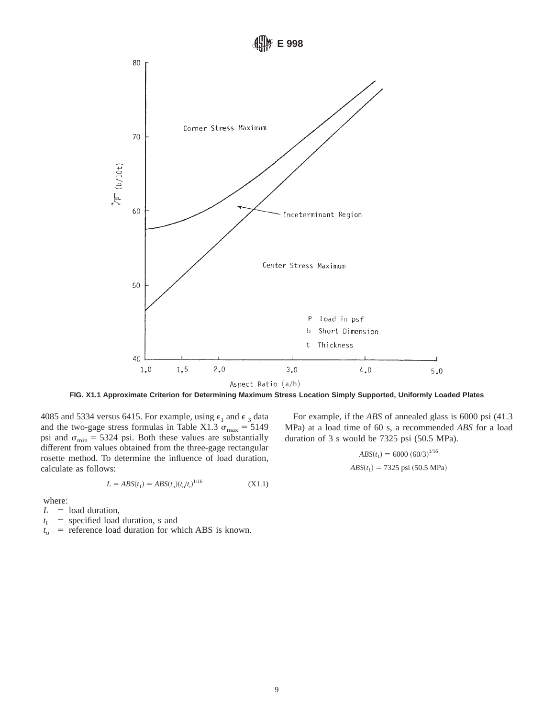

**FIG. X1.1 Approximate Criterion for Determining Maximum Stress Location Simply Supported, Uniformly Loaded Plates**

4085 and 5334 versus 6415. For example, using  $\epsilon_1$  and  $\epsilon_3$  data and the two-gage stress formulas in Table X1.3  $\sigma_{\text{max}} = 5149$ psi and  $\sigma_{\min} = 5324$  psi. Both these values are substantially different from values obtained from the three-gage rectangular rosette method. To determine the influence of load duration, calculate as follows:

$$
L = ABS(t_1) = ABS(t_0)(t_0/t_1)^{1/16}
$$
 (X1.1)

where:

 $L =$  load duration,

 $t_i$  = specified load duration, s and

 $t_0$  = reference load duration for which ABS is known.

For example, if the *ABS* of annealed glass is 6000 psi (41.3 MPa) at a load time of 60 s, a recommended *ABS* for a load duration of 3 s would be 7325 psi (50.5 MPa).

$$
ABS(t_1) = 6000 (60/3)^{1/16}
$$
  

$$
ABS(t_1) = 7325 \text{ psi} (50.5 \text{ MPa})
$$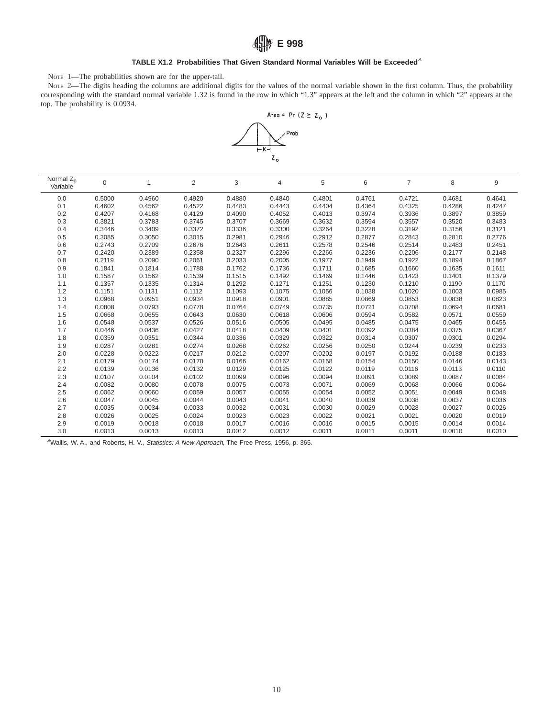## **E 998**

#### TABLE X1.2 Probabilities That Given Standard Normal Variables Will be Exceeded<sup>A</sup>

NOTE 1—The probabilities shown are for the upper-tail.

NOTE 2—The digits heading the columns are additional digits for the values of the normal variable shown in the first column. Thus, the probability corresponding with the standard normal variable 1.32 is found in the row in which "1.3" appears at the left and the column in which "2" appears at the top. The probability is 0.0934.



| Normal $Z_0$<br>Variable | 0      | 1      | $\overline{2}$ | 3      | 4      | 5      | 6      | 7      | 8      | 9      |
|--------------------------|--------|--------|----------------|--------|--------|--------|--------|--------|--------|--------|
| 0.0                      | 0.5000 | 0.4960 | 0.4920         | 0.4880 | 0.4840 | 0.4801 | 0.4761 | 0.4721 | 0.4681 | 0.4641 |
| 0.1                      | 0.4602 | 0.4562 | 0.4522         | 0.4483 | 0.4443 | 0.4404 | 0.4364 | 0.4325 | 0.4286 | 0.4247 |
| 0.2                      | 0.4207 | 0.4168 | 0.4129         | 0.4090 | 0.4052 | 0.4013 | 0.3974 | 0.3936 | 0.3897 | 0.3859 |
| 0.3                      | 0.3821 | 0.3783 | 0.3745         | 0.3707 | 0.3669 | 0.3632 | 0.3594 | 0.3557 | 0.3520 | 0.3483 |
| 0.4                      | 0.3446 | 0.3409 | 0.3372         | 0.3336 | 0.3300 | 0.3264 | 0.3228 | 0.3192 | 0.3156 | 0.3121 |
| 0.5                      | 0.3085 | 0.3050 | 0.3015         | 0.2981 | 0.2946 | 0.2912 | 0.2877 | 0.2843 | 0.2810 | 0.2776 |
| 0.6                      | 0.2743 | 0.2709 | 0.2676         | 0.2643 | 0.2611 | 0.2578 | 0.2546 | 0.2514 | 0.2483 | 0.2451 |
| 0.7                      | 0.2420 | 0.2389 | 0.2358         | 0.2327 | 0.2296 | 0.2266 | 0.2236 | 0.2206 | 0.2177 | 0.2148 |
| 0.8                      | 0.2119 | 0.2090 | 0.2061         | 0.2033 | 0.2005 | 0.1977 | 0.1949 | 0.1922 | 0.1894 | 0.1867 |
| 0.9                      | 0.1841 | 0.1814 | 0.1788         | 0.1762 | 0.1736 | 0.1711 | 0.1685 | 0.1660 | 0.1635 | 0.1611 |
| 1.0                      | 0.1587 | 0.1562 | 0.1539         | 0.1515 | 0.1492 | 0.1469 | 0.1446 | 0.1423 | 0.1401 | 0.1379 |
| 1.1                      | 0.1357 | 0.1335 | 0.1314         | 0.1292 | 0.1271 | 0.1251 | 0.1230 | 0.1210 | 0.1190 | 0.1170 |
| 1.2                      | 0.1151 | 0.1131 | 0.1112         | 0.1093 | 0.1075 | 0.1056 | 0.1038 | 0.1020 | 0.1003 | 0.0985 |
| 1.3                      | 0.0968 | 0.0951 | 0.0934         | 0.0918 | 0.0901 | 0.0885 | 0.0869 | 0.0853 | 0.0838 | 0.0823 |
| 1.4                      | 0.0808 | 0.0793 | 0.0778         | 0.0764 | 0.0749 | 0.0735 | 0.0721 | 0.0708 | 0.0694 | 0.0681 |
| 1.5                      | 0.0668 | 0.0655 | 0.0643         | 0.0630 | 0.0618 | 0.0606 | 0.0594 | 0.0582 | 0.0571 | 0.0559 |
| 1.6                      | 0.0548 | 0.0537 | 0.0526         | 0.0516 | 0.0505 | 0.0495 | 0.0485 | 0.0475 | 0.0465 | 0.0455 |
| 1.7                      | 0.0446 | 0.0436 | 0.0427         | 0.0418 | 0.0409 | 0.0401 | 0.0392 | 0.0384 | 0.0375 | 0.0367 |
| 1.8                      | 0.0359 | 0.0351 | 0.0344         | 0.0336 | 0.0329 | 0.0322 | 0.0314 | 0.0307 | 0.0301 | 0.0294 |
| 1.9                      | 0.0287 | 0.0281 | 0.0274         | 0.0268 | 0.0262 | 0.0256 | 0.0250 | 0.0244 | 0.0239 | 0.0233 |
| 2.0                      | 0.0228 | 0.0222 | 0.0217         | 0.0212 | 0.0207 | 0.0202 | 0.0197 | 0.0192 | 0.0188 | 0.0183 |
| 2.1                      | 0.0179 | 0.0174 | 0.0170         | 0.0166 | 0.0162 | 0.0158 | 0.0154 | 0.0150 | 0.0146 | 0.0143 |
| 2.2                      | 0.0139 | 0.0136 | 0.0132         | 0.0129 | 0.0125 | 0.0122 | 0.0119 | 0.0116 | 0.0113 | 0.0110 |
| 2.3                      | 0.0107 | 0.0104 | 0.0102         | 0.0099 | 0.0096 | 0.0094 | 0.0091 | 0.0089 | 0.0087 | 0.0084 |
| 2.4                      | 0.0082 | 0.0080 | 0.0078         | 0.0075 | 0.0073 | 0.0071 | 0.0069 | 0.0068 | 0.0066 | 0.0064 |
| 2.5                      | 0.0062 | 0.0060 | 0.0059         | 0.0057 | 0.0055 | 0.0054 | 0.0052 | 0.0051 | 0.0049 | 0.0048 |
| 2.6                      | 0.0047 | 0.0045 | 0.0044         | 0.0043 | 0.0041 | 0.0040 | 0.0039 | 0.0038 | 0.0037 | 0.0036 |
| 2.7                      | 0.0035 | 0.0034 | 0.0033         | 0.0032 | 0.0031 | 0.0030 | 0.0029 | 0.0028 | 0.0027 | 0.0026 |
| 2.8                      | 0.0026 | 0.0025 | 0.0024         | 0.0023 | 0.0023 | 0.0022 | 0.0021 | 0.0021 | 0.0020 | 0.0019 |
| 2.9                      | 0.0019 | 0.0018 | 0.0018         | 0.0017 | 0.0016 | 0.0016 | 0.0015 | 0.0015 | 0.0014 | 0.0014 |
| 3.0                      | 0.0013 | 0.0013 | 0.0013         | 0.0012 | 0.0012 | 0.0011 | 0.0011 | 0.0011 | 0.0010 | 0.0010 |

<sup>A</sup>Wallis, W. A., and Roberts, H. V., Statistics: <sup>A</sup> New Approach, The Free Press, 1956, p. 365.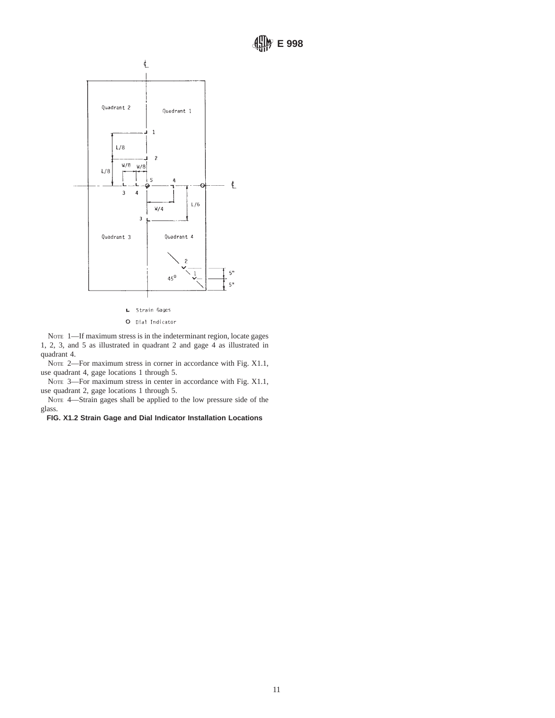

L Strain Gages

O Dial Indicator

NOTE 1-If maximum stress is in the indeterminant region, locate gages 1, 2, 3, and 5 as illustrated in quadrant 2 and gage 4 as illustrated in quadrant 4.

NOTE 2—For maximum stress in corner in accordance with Fig. X1.1, use quadrant 4, gage locations 1 through 5.

NOTE 3—For maximum stress in center in accordance with Fig. X1.1, use quadrant 2, gage locations 1 through 5.

NOTE 4—Strain gages shall be applied to the low pressure side of the glass.

**FIG. X1.2 Strain Gage and Dial Indicator Installation Locations**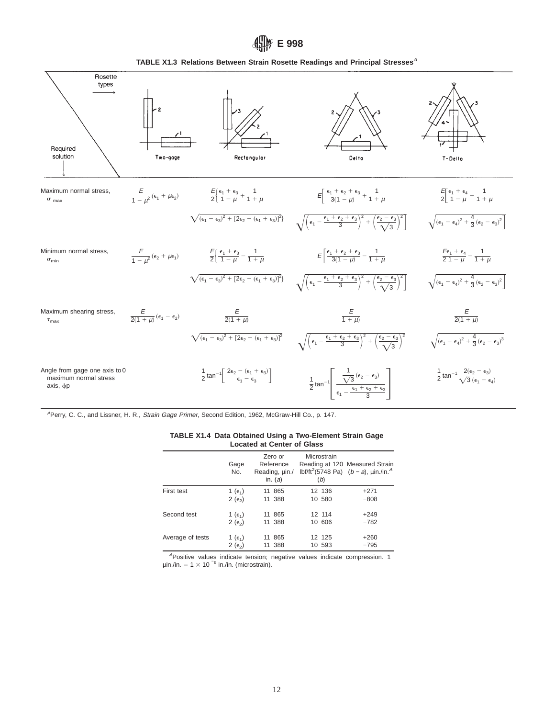## *filly* E 998

**TABLE X1.3 Relations Between Strain Rosette Readings and Principal Stresses**<sup>A</sup>

![](_page_11_Figure_2.jpeg)

<sup>A</sup>Perry, C. C., and Lissner, H. R., Strain Gage Primer, Second Edition, 1962, McGraw-Hill Co., p. 147.

| <b>TABLE X1.4 Data Obtained Using a Two-Element Strain Gage</b> |  |
|-----------------------------------------------------------------|--|
| <b>Located at Center of Glass</b>                               |  |

|                  | Gage<br>No.                   | Zero or<br>Reference<br>Reading, uin./<br>in. $(a)$ | Microstrain<br>(b) | Reading at 120 Measured Strain<br>lbf/ft <sup>2</sup> (5748 Pa) $(b - a)$ , $\mu$ in./in. <sup>4</sup> |
|------------------|-------------------------------|-----------------------------------------------------|--------------------|--------------------------------------------------------------------------------------------------------|
| First test       | 1 ( $\epsilon_1$ )            | 11 865                                              | 12 136             | $+271$                                                                                                 |
|                  | 2 ( $\epsilon$ <sub>2</sub> ) | 11 388                                              | 10 580             | $-808$                                                                                                 |
| Second test      | 1 ( $\epsilon_1$ )            | 11 865                                              | 12 114             | $+249$                                                                                                 |
|                  | 2 ( $\epsilon$ <sub>2</sub> ) | 11 388                                              | 10 606             | $-782$                                                                                                 |
| Average of tests | 1 ( $\epsilon_1$ )            | 11 865                                              | 12 125             | $+260$                                                                                                 |
|                  | 2 ( $\epsilon$ <sub>2</sub> ) | 11 388                                              | 10 593             | $-795$                                                                                                 |

<sup>A</sup>Positive values indicate tension; negative values indicate compression. 1  $\mu$ in./in. = 1 × 10<sup>-6</sup> in./in. (microstrain).